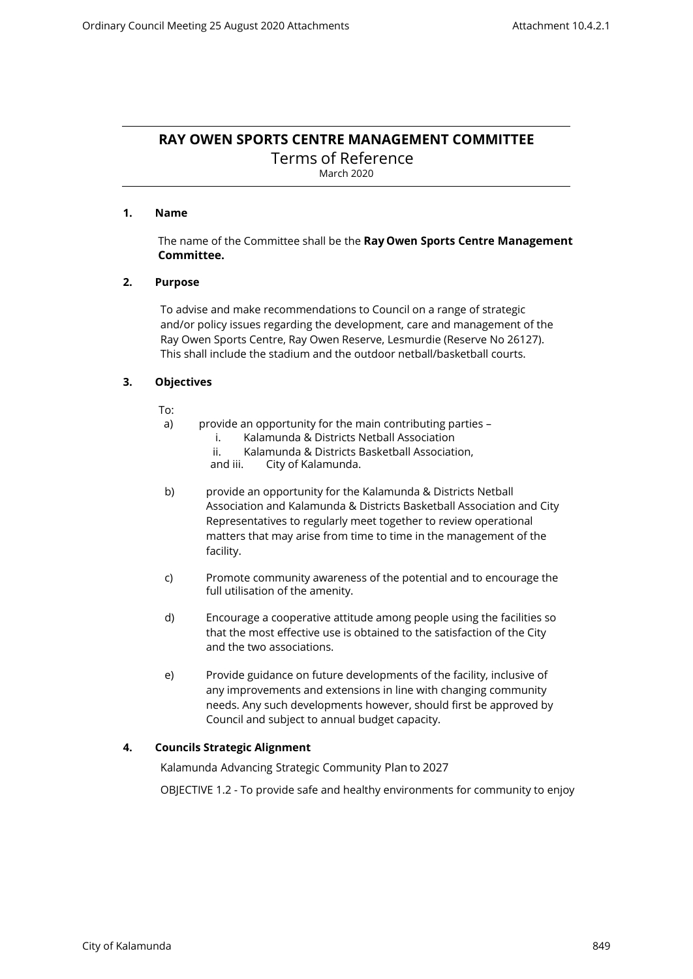# **RAY OWEN SPORTS CENTRE MANAGEMENT COMMITTEE**

Terms of Reference March 2020

# **1. Name**

The name of the Committee shall be the **Ray Owen Sports Centre Management Committee.**

# **2. Purpose**

To advise and make recommendations to Council on a range of strategic and/or policy issues regarding the development, care and management of the Ray Owen Sports Centre, Ray Owen Reserve, Lesmurdie (Reserve No 26127). This shall include the stadium and the outdoor netball/basketball courts.

# **3. Objectives**

To:

- a) provide an opportunity for the main contributing parties
	- i. Kalamunda & Districts Netball Association
	- ii. Kalamunda & Districts Basketball Association, and iii. City of Kalamunda.
	- City of Kalamunda.
- b) provide an opportunity for the Kalamunda & Districts Netball Association and Kalamunda & Districts Basketball Association and City Representatives to regularly meet together to review operational matters that may arise from time to time in the management of the facility.
- c) Promote community awareness of the potential and to encourage the full utilisation of the amenity.
- d) Encourage a cooperative attitude among people using the facilities so that the most effective use is obtained to the satisfaction of the City and the two associations.
- e) Provide guidance on future developments of the facility, inclusive of any improvements and extensions in line with changing community needs. Any such developments however, should first be approved by Council and subject to annual budget capacity.

# **4. Councils Strategic Alignment**

Kalamunda Advancing Strategic Community Plan to 2027

OBJECTIVE 1.2 - To provide safe and healthy environments for community to enjoy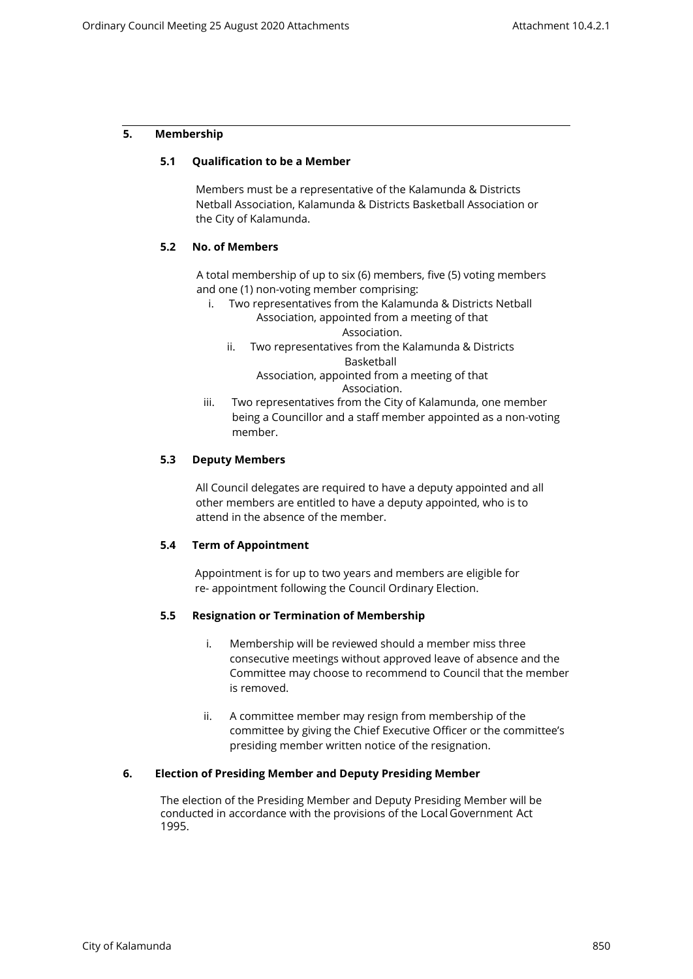## **5. Membership**

## **5.1 Qualification to be a Member**

Members must be a representative of the Kalamunda & Districts Netball Association, Kalamunda & Districts Basketball Association or the City of Kalamunda.

#### **5.2 No. of Members**

A total membership of up to six (6) members, five (5) voting members and one (1) non-voting member comprising:

- i. Two representatives from the Kalamunda & Districts Netball Association, appointed from a meeting of that Association.
	- ii. Two representatives from the Kalamunda & Districts Basketball

Association, appointed from a meeting of that Association.

iii. Two representatives from the City of Kalamunda, one member being a Councillor and a staff member appointed as a non-voting member.

## **5.3 Deputy Members**

All Council delegates are required to have a deputy appointed and all other members are entitled to have a deputy appointed, who is to attend in the absence of the member.

## **5.4 Term of Appointment**

Appointment is for up to two years and members are eligible for re- appointment following the Council Ordinary Election.

## **5.5 Resignation or Termination of Membership**

- i. Membership will be reviewed should a member miss three consecutive meetings without approved leave of absence and the Committee may choose to recommend to Council that the member is removed.
- ii. A committee member may resign from membership of the committee by giving the Chief Executive Officer or the committee's presiding member written notice of the resignation.

## **6. Election of Presiding Member and Deputy Presiding Member**

The election of the Presiding Member and Deputy Presiding Member will be conducted in accordance with the provisions of the Local Government Act 1995.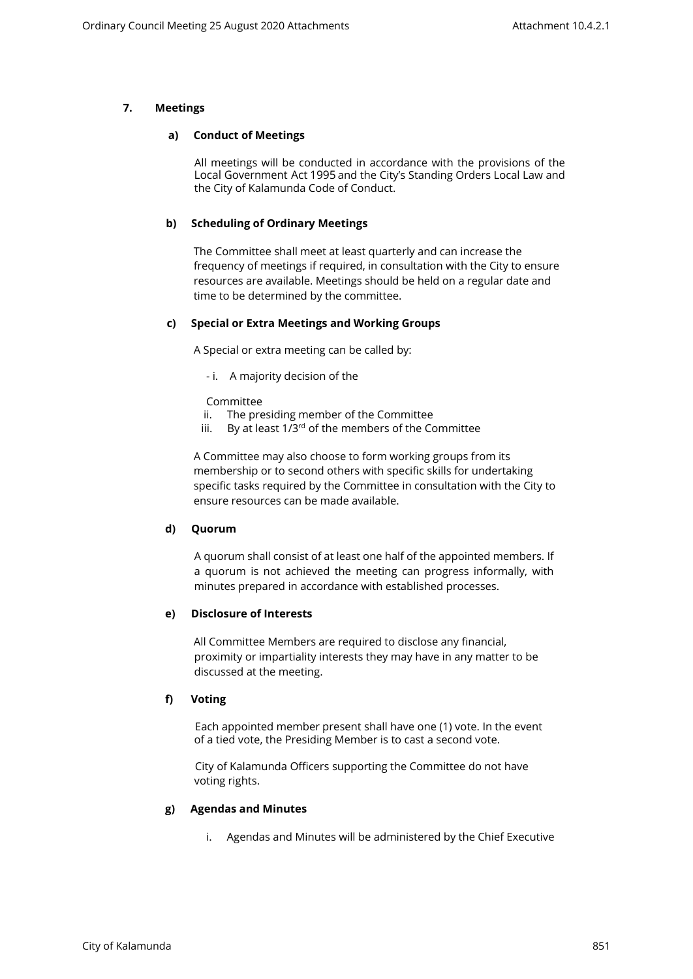# **7. Meetings**

## **a) Conduct of Meetings**

All meetings will be conducted in accordance with the provisions of the Local Government Act 1995 and the City's Standing Orders Local Law and the City of Kalamunda Code of Conduct.

# **b) Scheduling of Ordinary Meetings**

The Committee shall meet at least quarterly and can increase the frequency of meetings if required, in consultation with the City to ensure resources are available. Meetings should be held on a regular date and time to be determined by the committee.

# **c) Special or Extra Meetings and Working Groups**

A Special or extra meeting can be called by:

- i. A majority decision of the

Committee

- ii. The presiding member of the Committee
- iii. By at least  $1/3^{rd}$  of the members of the Committee

A Committee may also choose to form working groups from its membership or to second others with specific skills for undertaking specific tasks required by the Committee in consultation with the City to ensure resources can be made available.

# **d) Quorum**

A quorum shall consist of at least one half of the appointed members. If a quorum is not achieved the meeting can progress informally, with minutes prepared in accordance with established processes.

# **e) Disclosure of Interests**

All Committee Members are required to disclose any financial, proximity or impartiality interests they may have in any matter to be discussed at the meeting.

# **f) Voting**

Each appointed member present shall have one (1) vote. In the event of a tied vote, the Presiding Member is to cast a second vote.

City of Kalamunda Officers supporting the Committee do not have voting rights.

## **g) Agendas and Minutes**

i. Agendas and Minutes will be administered by the Chief Executive